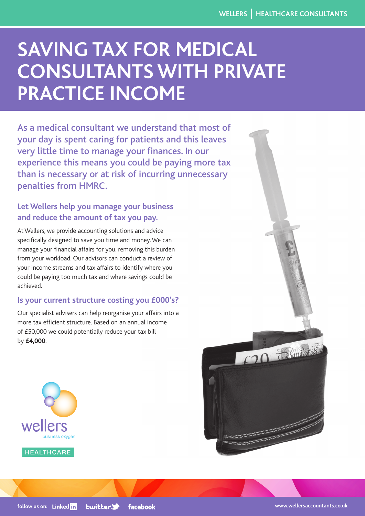# **SAVING TAX FOR MEDICAL CONSULTANTS WITH PRIVATE PRACTICE INCOME**

As a medical consultant we understand that most of your day is spent caring for patients and this leaves very little time to manage your finances. In our experience this means you could be paying more tax than is necessary or at risk of incurring unnecessary penalties from HMRC.

# **Let Wellers help you manage your business and reduce the amount of tax you pay.**

At Wellers, we provide accounting solutions and advice specifically designed to save you time and money. We can manage your financial affairs for you, removing this burden from your workload. Our advisors can conduct a review of your income streams and tax affairs to identify where you could be paying too much tax and where savings could be achieved.

### **Is your current structure costing you £000's?**

Our specialist advisers can help reorganise your affairs into a more tax efficient structure. Based on an annual income of £50,000 we could potentially reduce your tax bill by **£4,000**.





**[www.wellersaccountants.co.uk](http://www.wellersaccountants.co.uk/)**